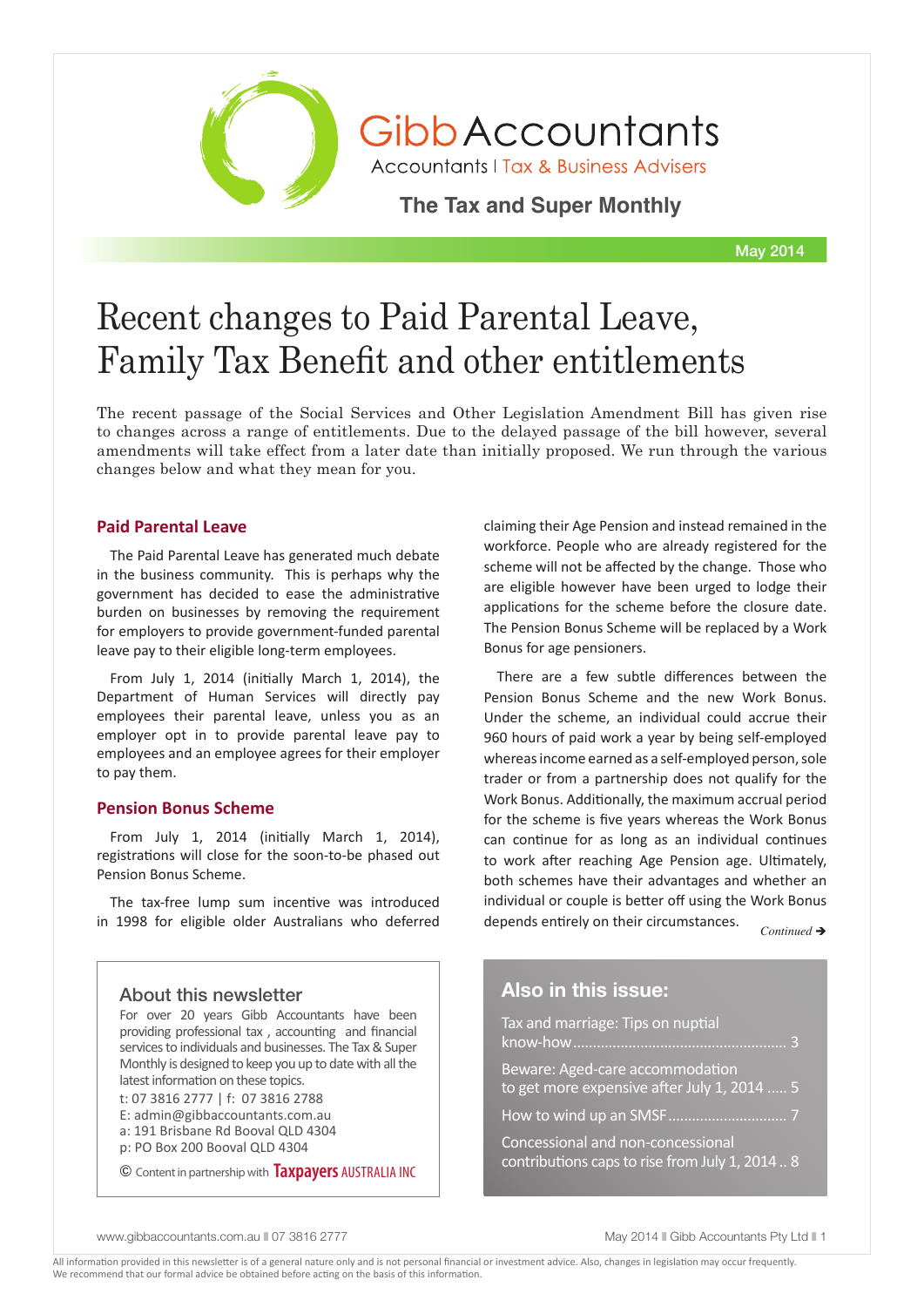

GibbAccountants

**Accountants | Tax & Business Advisers** 

**The Tax and Super Monthly** 

May 2014

# Recent changes to Paid Parental Leave, Family Tax Benefit and other entitlements

The recent passage of the Social Services and Other Legislation Amendment Bill has given rise to changes across a range of entitlements. Due to the delayed passage of the bill however, several amendments will take effect from a later date than initially proposed. We run through the various changes below and what they mean for you.

# **Paid Parental Leave**

The Paid Parental Leave has generated much debate in the business community. This is perhaps why the government has decided to ease the administrative burden on businesses by removing the requirement for employers to provide government-funded parental leave pay to their eligible long-term employees.

From July 1, 2014 (initially March 1, 2014), the Department of Human Services will directly pay employees their parental leave, unless you as an employer opt in to provide parental leave pay to employees and an employee agrees for their employer to pay them.

## **Pension Bonus Scheme**

From July 1, 2014 (initially March 1, 2014), registrations will close for the soon-to-be phased out Pension Bonus Scheme.

The tax-free lump sum incentive was introduced in 1998 for eligible older Australians who deferred

# claiming their Age Pension and instead remained in the workforce. People who are already registered for the scheme will not be affected by the change. Those who are eligible however have been urged to lodge their applications for the scheme before the closure date. The Pension Bonus Scheme will be replaced by a Work Bonus for age pensioners.

There are a few subtle differences between the Pension Bonus Scheme and the new Work Bonus. Under the scheme, an individual could accrue their 960 hours of paid work a year by being self-employed whereas income earned as a self-employed person, sole trader or from a partnership does not qualify for the Work Bonus. Additionally, the maximum accrual period for the scheme is five years whereas the Work Bonus can continue for as long as an individual continues to work after reaching Age Pension age. Ultimately, both schemes have their advantages and whether an individual or couple is better off using the Work Bonus depends entirely on their circumstances.

*Continued* →

## About this newsletter

For over 20 years Gibb Accountants have been providing professional tax , accounting and financial services to individuals and businesses. The Tax & Super Monthly is designed to keep you up to date with all the latest information on these topics.

t: 07 3816 2777 | f: 07 3816 2788

- E: admin@gibbaccountants.com.au a: 191 Brisbane Rd Booval QLD 4304
- p: PO Box 200 Booval QLD 4304

© Content in partnership with **Taxpayers** AUSTRALIA INC

# **Also in this issue:**

Tax and marriage: Tips on nuptial know-how...................................................... 3 Beware: Aged-care accommodation to get more expensive after July 1, 2014 ..... 5 How to wind up an SMSF.............................. 7 Concessional and non-concessional contributions caps to rise from July 1, 2014 .. 8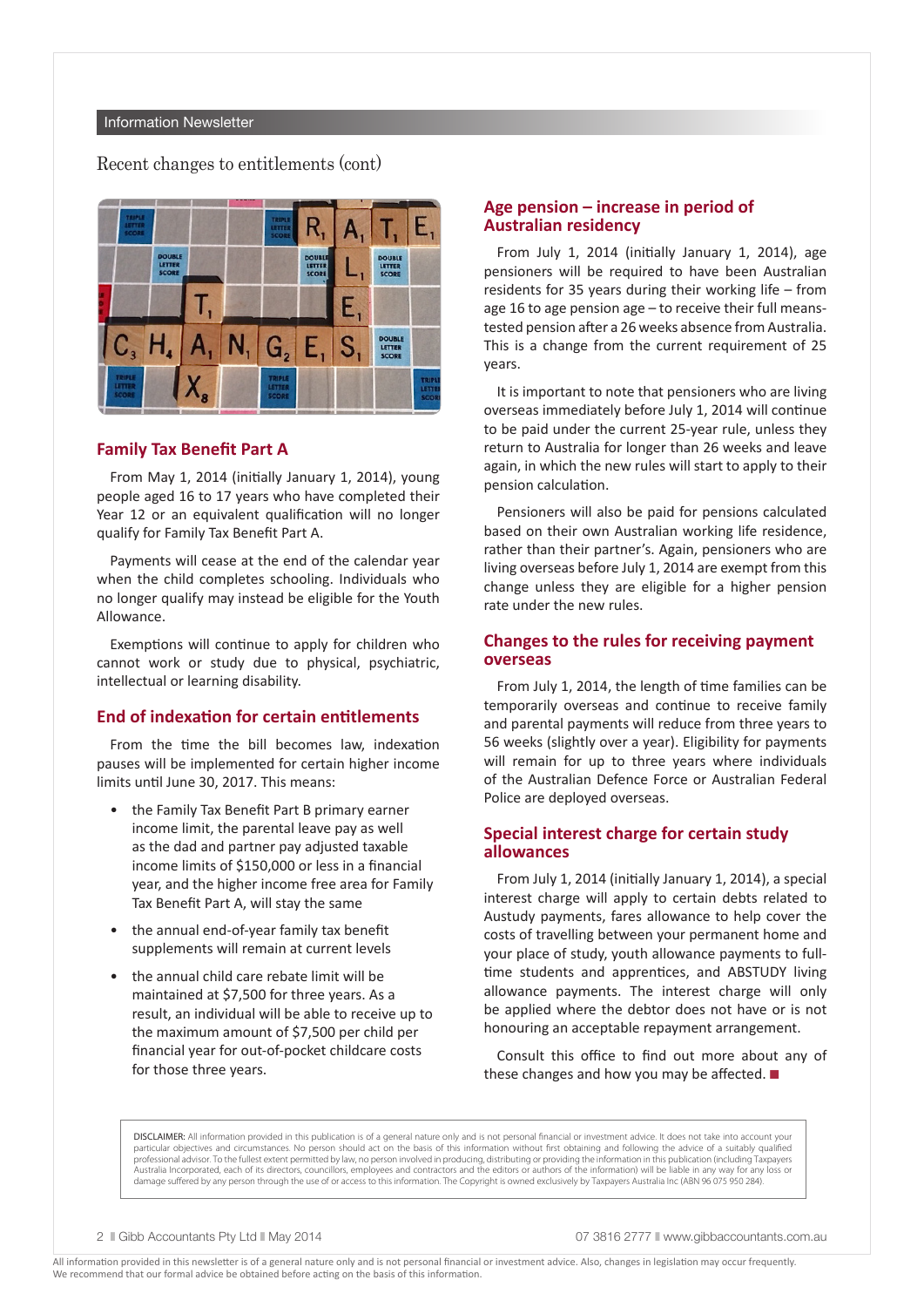#### Information Newsletter

Recent changes to entitlements (cont)



# **Family Tax Benefit Part A**

From May 1, 2014 (initially January 1, 2014), young people aged 16 to 17 years who have completed their Year 12 or an equivalent qualification will no longer qualify for Family Tax Benefit Part A.

Payments will cease at the end of the calendar year when the child completes schooling. Individuals who no longer qualify may instead be eligible for the Youth Allowance.

Exemptions will continue to apply for children who cannot work or study due to physical, psychiatric, intellectual or learning disability.

## **End of indexation for certain entitlements**

From the time the bill becomes law, indexation pauses will be implemented for certain higher income limits until June 30, 2017. This means:

- the Family Tax Benefit Part B primary earner income limit, the parental leave pay as well as the dad and partner pay adjusted taxable income limits of \$150,000 or less in a financial year, and the higher income free area for Family Tax Benefit Part A, will stay the same
- the annual end-of-year family tax benefit supplements will remain at current levels
- the annual child care rebate limit will be maintained at \$7,500 for three years. As a result, an individual will be able to receive up to the maximum amount of \$7,500 per child per financial year for out-of-pocket childcare costs for those three years.

# **Age pension – increase in period of Australian residency**

From July 1, 2014 (initially January 1, 2014), age pensioners will be required to have been Australian residents for 35 years during their working life – from age 16 to age pension age – to receive their full meanstested pension after a 26 weeks absence from Australia. This is a change from the current requirement of 25 years.

It is important to note that pensioners who are living overseas immediately before July 1, 2014 will continue to be paid under the current 25-year rule, unless they return to Australia for longer than 26 weeks and leave again, in which the new rules will start to apply to their pension calculation.

Pensioners will also be paid for pensions calculated based on their own Australian working life residence, rather than their partner's. Again, pensioners who are living overseas before July 1, 2014 are exempt from this change unless they are eligible for a higher pension rate under the new rules.

# **Changes to the rules for receiving payment overseas**

From July 1, 2014, the length of time families can be temporarily overseas and continue to receive family and parental payments will reduce from three years to 56 weeks (slightly over a year). Eligibility for payments will remain for up to three years where individuals of the Australian Defence Force or Australian Federal Police are deployed overseas.

# **Special interest charge for certain study allowances**

From July 1, 2014 (initially January 1, 2014), a special interest charge will apply to certain debts related to Austudy payments, fares allowance to help cover the costs of travelling between your permanent home and your place of study, youth allowance payments to fulltime students and apprentices, and ABSTUDY living allowance payments. The interest charge will only be applied where the debtor does not have or is not honouring an acceptable repayment arrangement.

Consult this office to find out more about any of these changes and how you may be affected.  $\blacksquare$ 

DISCLAIMER: All information provided in this publication is of a general nature only and is not personal financial or investment advice. It does not take into account your particular objectives and circumstances. No person should act on the basis of this information without first obtaining and following the advice of a suitably qualified professional advisor. To the fullest extent permitted by law, no person involved in producing, distributing or providing the information in this publication (including Taxpayers Australia Incorporated, each of its directors, councillors, employees and contractors and the editors or authors of the information) will be liable in any way for any loss or damage suffered by any person through the use of or access to this information. The Copyright is owned exclusively by Taxpayers Australia Inc (ABN 96 075 950 284).

2 **Community** Britain Pty Ltd **II** May 2014 **07 3816 2777 n** www.gibbaccountants.com.au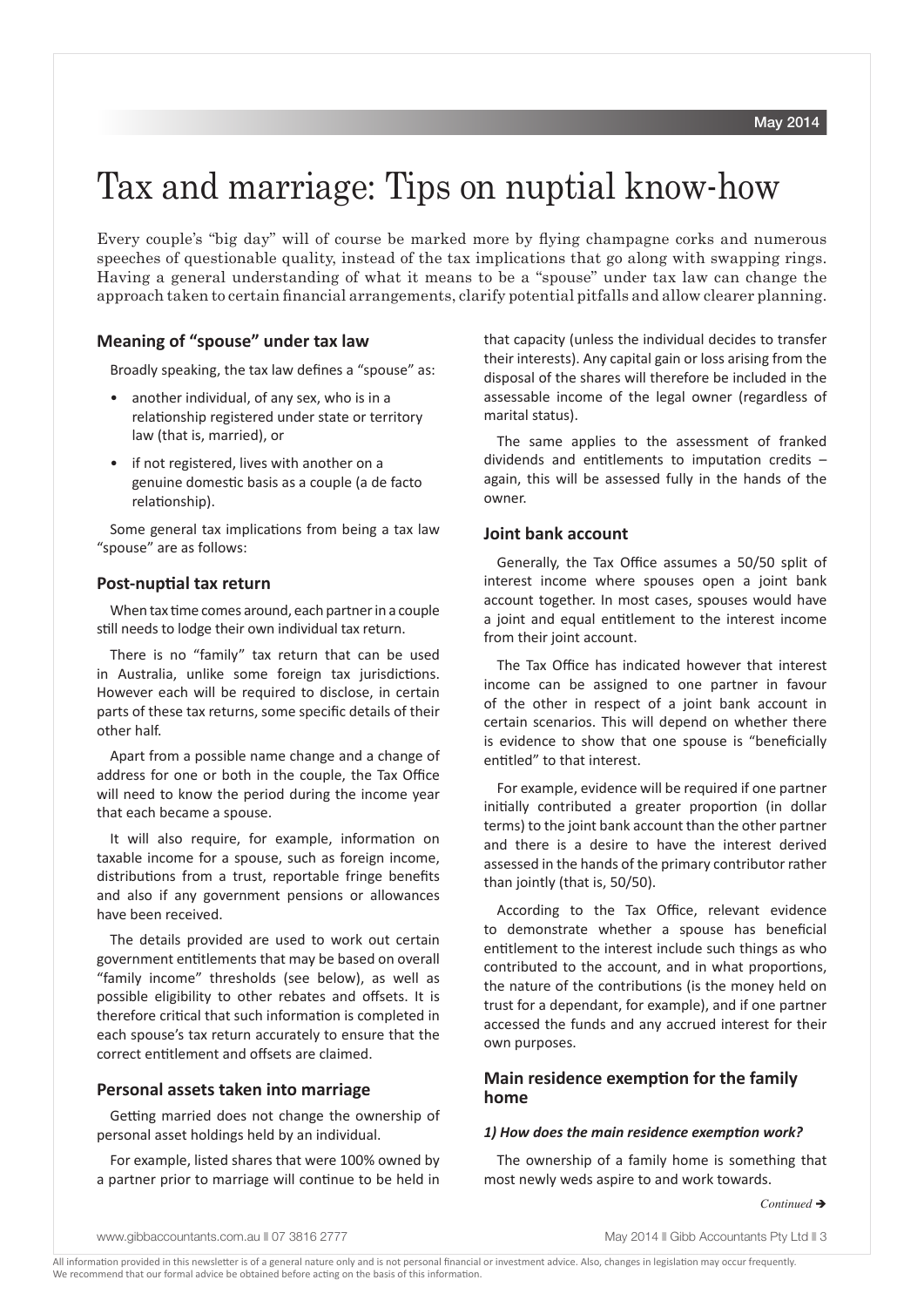# Tax and marriage: Tips on nuptial know-how

Every couple's "big day" will of course be marked more by flying champagne corks and numerous speeches of questionable quality, instead of the tax implications that go along with swapping rings. Having a general understanding of what it means to be a "spouse" under tax law can change the approach taken to certain financial arrangements, clarify potential pitfalls and allow clearer planning.

# **Meaning of "spouse" under tax law**

Broadly speaking, the tax law defines a "spouse" as:

- another individual, of any sex, who is in a relationship registered under state or territory law (that is, married), or
- if not registered, lives with another on a genuine domestic basis as a couple (a de facto relationship).

Some general tax implications from being a tax law "spouse" are as follows:

# **Post-nuptial tax return**

When tax time comes around, each partner in a couple still needs to lodge their own individual tax return.

There is no "family" tax return that can be used in Australia, unlike some foreign tax jurisdictions. However each will be required to disclose, in certain parts of these tax returns, some specific details of their other half.

Apart from a possible name change and a change of address for one or both in the couple, the Tax Office will need to know the period during the income year that each became a spouse.

It will also require, for example, information on taxable income for a spouse, such as foreign income, distributions from a trust, reportable fringe benefits and also if any government pensions or allowances have been received.

The details provided are used to work out certain government entitlements that may be based on overall "family income" thresholds (see below), as well as possible eligibility to other rebates and offsets. It is therefore critical that such information is completed in each spouse's tax return accurately to ensure that the correct entitlement and offsets are claimed.

#### **Personal assets taken into marriage**

Getting married does not change the ownership of personal asset holdings held by an individual.

For example, listed shares that were 100% owned by a partner prior to marriage will continue to be held in that capacity (unless the individual decides to transfer their interests). Any capital gain or loss arising from the disposal of the shares will therefore be included in the assessable income of the legal owner (regardless of marital status).

The same applies to the assessment of franked dividends and entitlements to imputation credits – again, this will be assessed fully in the hands of the owner.

# **Joint bank account**

Generally, the Tax Office assumes a 50/50 split of interest income where spouses open a joint bank account together. In most cases, spouses would have a joint and equal entitlement to the interest income from their joint account.

The Tax Office has indicated however that interest income can be assigned to one partner in favour of the other in respect of a joint bank account in certain scenarios. This will depend on whether there is evidence to show that one spouse is "beneficially entitled" to that interest.

For example, evidence will be required if one partner initially contributed a greater proportion (in dollar terms) to the joint bank account than the other partner and there is a desire to have the interest derived assessed in the hands of the primary contributor rather than jointly (that is, 50/50).

According to the Tax Office, relevant evidence to demonstrate whether a spouse has beneficial entitlement to the interest include such things as who contributed to the account, and in what proportions, the nature of the contributions (is the money held on trust for a dependant, for example), and if one partner accessed the funds and any accrued interest for their own purposes.

# **Main residence exemption for the family home**

#### *1) How does the main residence exemption work?*

The ownership of a family home is something that most newly weds aspire to and work towards.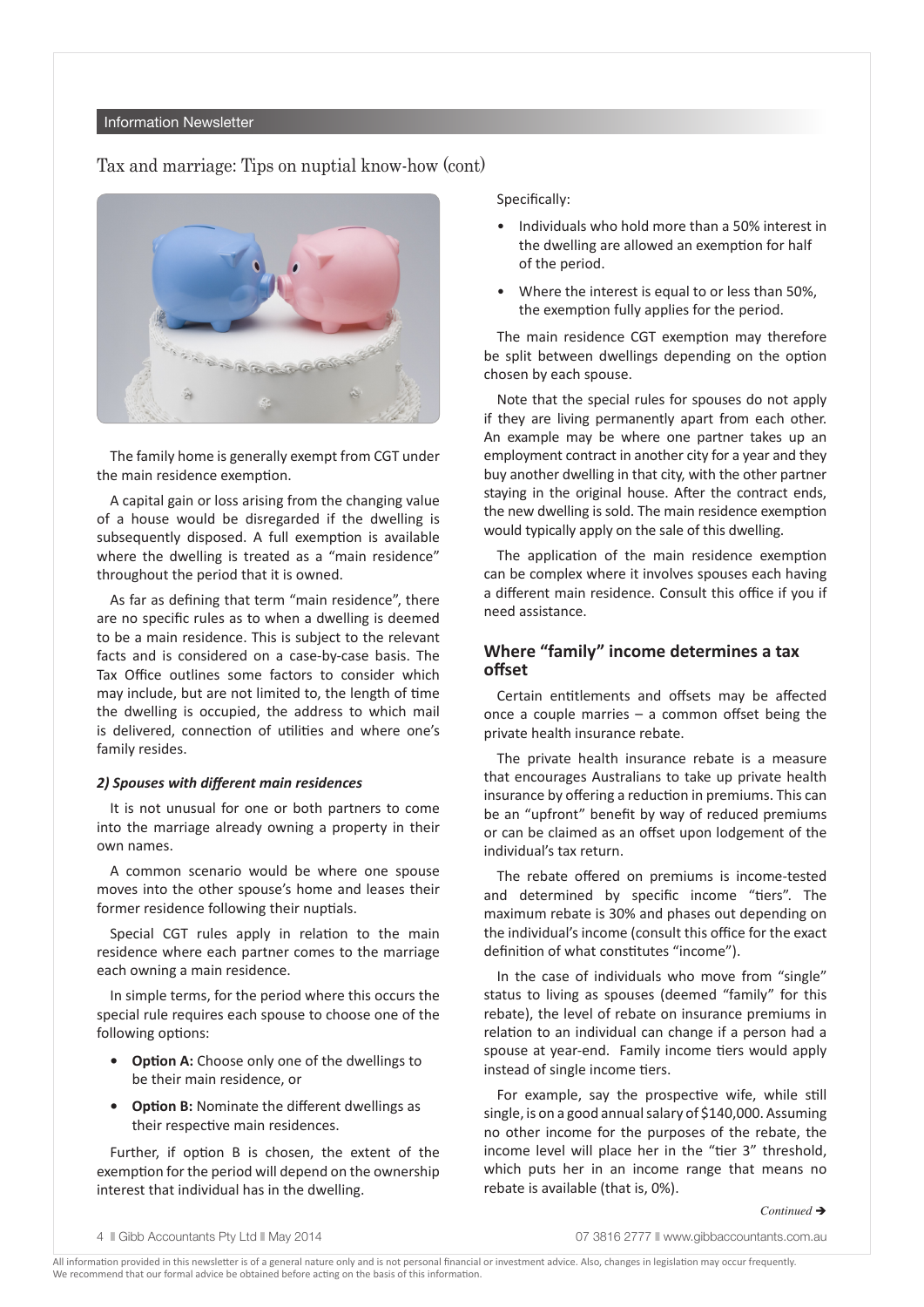#### Information Newsletter

Tax and marriage: Tips on nuptial know-how (cont)



The family home is generally exempt from CGT under the main residence exemption.

A capital gain or loss arising from the changing value of a house would be disregarded if the dwelling is subsequently disposed. A full exemption is available where the dwelling is treated as a "main residence" throughout the period that it is owned.

As far as defining that term "main residence", there are no specific rules as to when a dwelling is deemed to be a main residence. This is subject to the relevant facts and is considered on a case-by-case basis. The Tax Office outlines some factors to consider which may include, but are not limited to, the length of time the dwelling is occupied, the address to which mail is delivered, connection of utilities and where one's family resides.

#### *2) Spouses with different main residences*

It is not unusual for one or both partners to come into the marriage already owning a property in their own names.

A common scenario would be where one spouse moves into the other spouse's home and leases their former residence following their nuptials.

Special CGT rules apply in relation to the main residence where each partner comes to the marriage each owning a main residence.

In simple terms, for the period where this occurs the special rule requires each spouse to choose one of the following options:

- **• Option A:** Choose only one of the dwellings to be their main residence, or
- **Option B:** Nominate the different dwellings as their respective main residences.

Further, if option B is chosen, the extent of the exemption for the period will depend on the ownership interest that individual has in the dwelling.

Specifically:

- Individuals who hold more than a 50% interest in the dwelling are allowed an exemption for half of the period.
- Where the interest is equal to or less than 50%, the exemption fully applies for the period.

The main residence CGT exemption may therefore be split between dwellings depending on the option chosen by each spouse.

Note that the special rules for spouses do not apply if they are living permanently apart from each other. An example may be where one partner takes up an employment contract in another city for a year and they buy another dwelling in that city, with the other partner staying in the original house. After the contract ends, the new dwelling is sold. The main residence exemption would typically apply on the sale of this dwelling.

The application of the main residence exemption can be complex where it involves spouses each having a different main residence. Consult this office if you if need assistance.

# **Where "family" income determines a tax offset**

Certain entitlements and offsets may be affected once a couple marries – a common offset being the private health insurance rebate.

The private health insurance rebate is a measure that encourages Australians to take up private health insurance by offering a reduction in premiums. This can be an "upfront" benefit by way of reduced premiums or can be claimed as an offset upon lodgement of the individual's tax return.

The rebate offered on premiums is income-tested and determined by specific income "tiers". The maximum rebate is 30% and phases out depending on the individual's income (consult this office for the exact definition of what constitutes "income").

In the case of individuals who move from "single" status to living as spouses (deemed "family" for this rebate), the level of rebate on insurance premiums in relation to an individual can change if a person had a spouse at year-end. Family income tiers would apply instead of single income tiers.

For example, say the prospective wife, while still single, is on a good annual salary of \$140,000. Assuming no other income for the purposes of the rebate, the income level will place her in the "tier 3" threshold, which puts her in an income range that means no rebate is available (that is, 0%).

4 **|| Gibb Accountants Pty Ltd || May 2014 07 3816 2777 || www.gibbaccountants.com.au**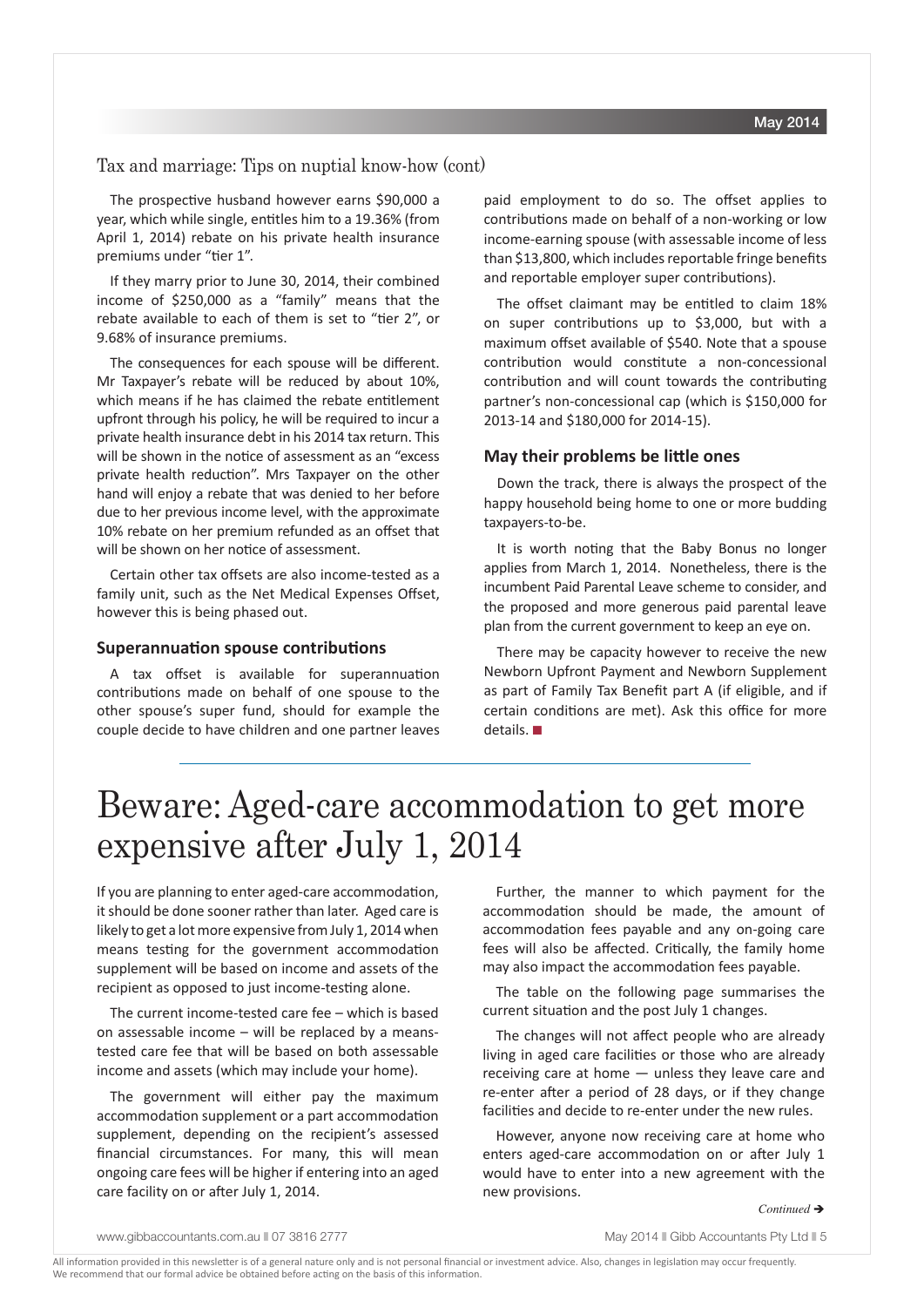# Tax and marriage: Tips on nuptial know-how (cont)

The prospective husband however earns \$90,000 a year, which while single, entitles him to a 19.36% (from April 1, 2014) rebate on his private health insurance premiums under "tier 1".

If they marry prior to June 30, 2014, their combined income of \$250,000 as a "family" means that the rebate available to each of them is set to "tier 2", or 9.68% of insurance premiums.

The consequences for each spouse will be different. Mr Taxpayer's rebate will be reduced by about 10%, which means if he has claimed the rebate entitlement upfront through his policy, he will be required to incur a private health insurance debt in his 2014 tax return. This will be shown in the notice of assessment as an "excess private health reduction". Mrs Taxpayer on the other hand will enjoy a rebate that was denied to her before due to her previous income level, with the approximate 10% rebate on her premium refunded as an offset that will be shown on her notice of assessment.

Certain other tax offsets are also income-tested as a family unit, such as the Net Medical Expenses Offset, however this is being phased out.

#### **Superannuation spouse contributions**

A tax offset is available for superannuation contributions made on behalf of one spouse to the other spouse's super fund, should for example the couple decide to have children and one partner leaves paid employment to do so. The offset applies to contributions made on behalf of a non-working or low income-earning spouse (with assessable income of less than \$13,800, which includes reportable fringe benefits and reportable employer super contributions).

The offset claimant may be entitled to claim 18% on super contributions up to \$3,000, but with a maximum offset available of \$540. Note that a spouse contribution would constitute a non-concessional contribution and will count towards the contributing partner's non-concessional cap (which is \$150,000 for 2013-14 and \$180,000 for 2014-15).

#### **May their problems be little ones**

Down the track, there is always the prospect of the happy household being home to one or more budding taxpayers-to-be.

It is worth noting that the Baby Bonus no longer applies from March 1, 2014. Nonetheless, there is the incumbent Paid Parental Leave scheme to consider, and the proposed and more generous paid parental leave plan from the current government to keep an eye on.

There may be capacity however to receive the new Newborn Upfront Payment and Newborn Supplement as part of Family Tax Benefit part A (if eligible, and if certain conditions are met). Ask this office for more details.

# Beware: Aged-care accommodation to get more expensive after July 1, 2014

If you are planning to enter aged-care accommodation, it should be done sooner rather than later. Aged care is likely to get a lot more expensive from July 1, 2014 when means testing for the government accommodation supplement will be based on income and assets of the recipient as opposed to just income-testing alone.

The current income-tested care fee – which is based on assessable income – will be replaced by a meanstested care fee that will be based on both assessable income and assets (which may include your home).

The government will either pay the maximum accommodation supplement or a part accommodation supplement, depending on the recipient's assessed financial circumstances. For many, this will mean ongoing care fees will be higher if entering into an aged care facility on or after July 1, 2014.

Further, the manner to which payment for the accommodation should be made, the amount of accommodation fees payable and any on-going care fees will also be affected. Critically, the family home may also impact the accommodation fees payable.

The table on the following page summarises the current situation and the post July 1 changes.

The changes will not affect people who are already living in aged care facilities or those who are already receiving care at home — unless they leave care and re-enter after a period of 28 days, or if they change facilities and decide to re-enter under the new rules.

However, anyone now receiving care at home who enters aged-care accommodation on or after July 1 would have to enter into a new agreement with the new provisions.

www.gibbaccountants.com.au || 07 3816 2777 May 2014 || May 2014 || Gibb Accountants Pty Ltd || 5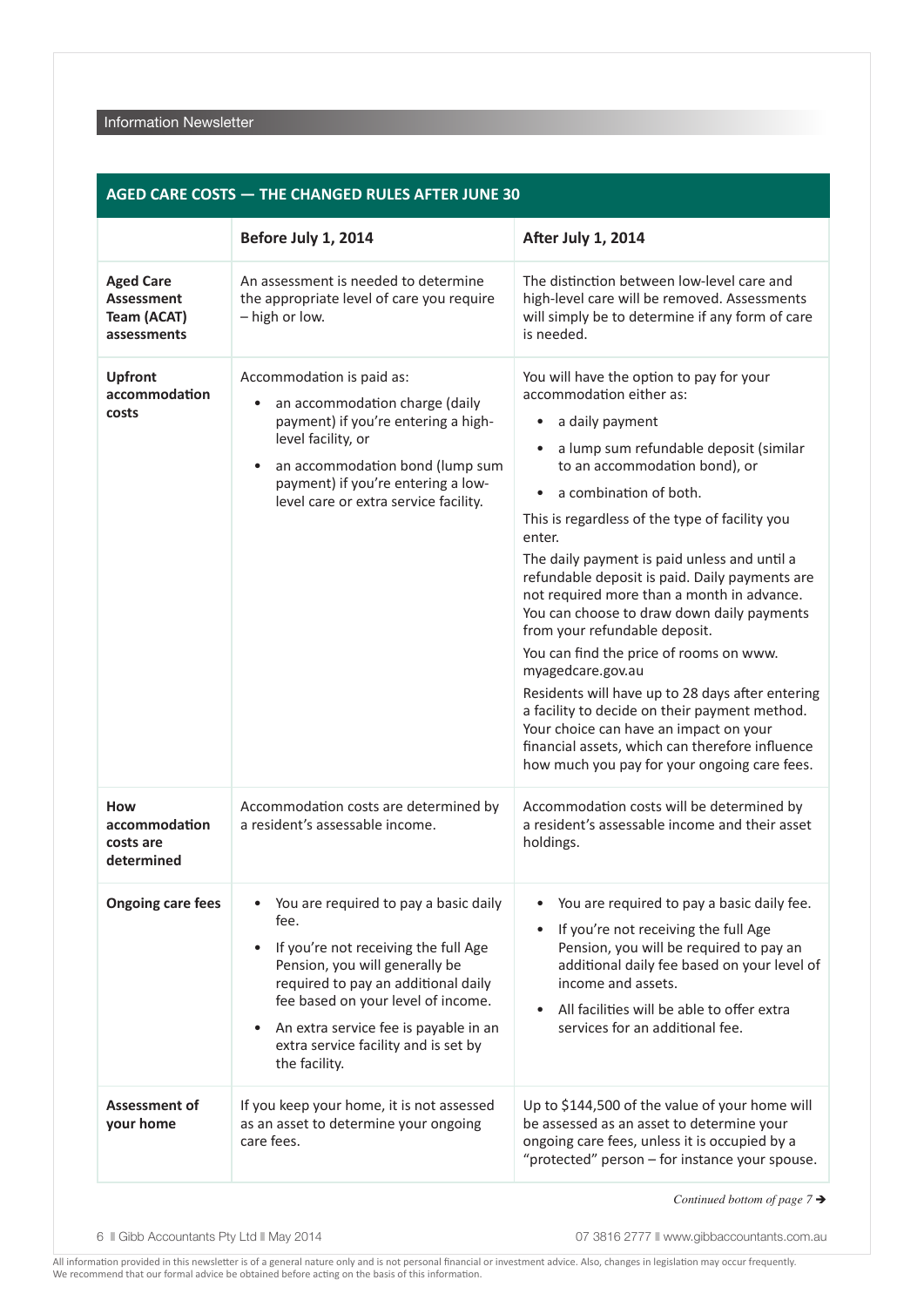| <b>AGED CARE COSTS - THE CHANGED RULES AFTER JUNE 30</b>            |                                                                                                                                                                                                                                                                                                                                  |                                                                                                                                                                                                                                                                                                                                                                                                                                                                                                                                                                                                                                                                                                                                                                                                                        |  |  |
|---------------------------------------------------------------------|----------------------------------------------------------------------------------------------------------------------------------------------------------------------------------------------------------------------------------------------------------------------------------------------------------------------------------|------------------------------------------------------------------------------------------------------------------------------------------------------------------------------------------------------------------------------------------------------------------------------------------------------------------------------------------------------------------------------------------------------------------------------------------------------------------------------------------------------------------------------------------------------------------------------------------------------------------------------------------------------------------------------------------------------------------------------------------------------------------------------------------------------------------------|--|--|
|                                                                     | Before July 1, 2014                                                                                                                                                                                                                                                                                                              | <b>After July 1, 2014</b>                                                                                                                                                                                                                                                                                                                                                                                                                                                                                                                                                                                                                                                                                                                                                                                              |  |  |
| <b>Aged Care</b><br><b>Assessment</b><br>Team (ACAT)<br>assessments | An assessment is needed to determine<br>the appropriate level of care you require<br>- high or low.                                                                                                                                                                                                                              | The distinction between low-level care and<br>high-level care will be removed. Assessments<br>will simply be to determine if any form of care<br>is needed.                                                                                                                                                                                                                                                                                                                                                                                                                                                                                                                                                                                                                                                            |  |  |
| <b>Upfront</b><br>accommodation<br>costs                            | Accommodation is paid as:<br>an accommodation charge (daily<br>$\bullet$<br>payment) if you're entering a high-<br>level facility, or<br>an accommodation bond (lump sum<br>$\bullet$<br>payment) if you're entering a low-<br>level care or extra service facility.                                                             | You will have the option to pay for your<br>accommodation either as:<br>a daily payment<br>a lump sum refundable deposit (similar<br>to an accommodation bond), or<br>a combination of both.<br>$\bullet$<br>This is regardless of the type of facility you<br>enter.<br>The daily payment is paid unless and until a<br>refundable deposit is paid. Daily payments are<br>not required more than a month in advance.<br>You can choose to draw down daily payments<br>from your refundable deposit.<br>You can find the price of rooms on www.<br>myagedcare.gov.au<br>Residents will have up to 28 days after entering<br>a facility to decide on their payment method.<br>Your choice can have an impact on your<br>financial assets, which can therefore influence<br>how much you pay for your ongoing care fees. |  |  |
| How<br>accommodation<br>costs are<br>determined                     | Accommodation costs are determined by<br>a resident's assessable income.                                                                                                                                                                                                                                                         | Accommodation costs will be determined by<br>a resident's assessable income and their asset<br>holdings.                                                                                                                                                                                                                                                                                                                                                                                                                                                                                                                                                                                                                                                                                                               |  |  |
| <b>Ongoing care fees</b>                                            | You are required to pay a basic daily<br>fee.<br>If you're not receiving the full Age<br>$\bullet$<br>Pension, you will generally be<br>required to pay an additional daily<br>fee based on your level of income.<br>An extra service fee is payable in an<br>$\bullet$<br>extra service facility and is set by<br>the facility. | You are required to pay a basic daily fee.<br>If you're not receiving the full Age<br>Pension, you will be required to pay an<br>additional daily fee based on your level of<br>income and assets.<br>All facilities will be able to offer extra<br>services for an additional fee.                                                                                                                                                                                                                                                                                                                                                                                                                                                                                                                                    |  |  |
| Assessment of<br>your home                                          | If you keep your home, it is not assessed<br>as an asset to determine your ongoing<br>care fees.                                                                                                                                                                                                                                 | Up to \$144,500 of the value of your home will<br>be assessed as an asset to determine your<br>ongoing care fees, unless it is occupied by a<br>"protected" person - for instance your spouse.                                                                                                                                                                                                                                                                                                                                                                                                                                                                                                                                                                                                                         |  |  |

*Continued bottom of page 7 →* 

6 Gibb Accountants Pty Ltd May 2014 **07 3816 2777** www.gibbaccountants.com.au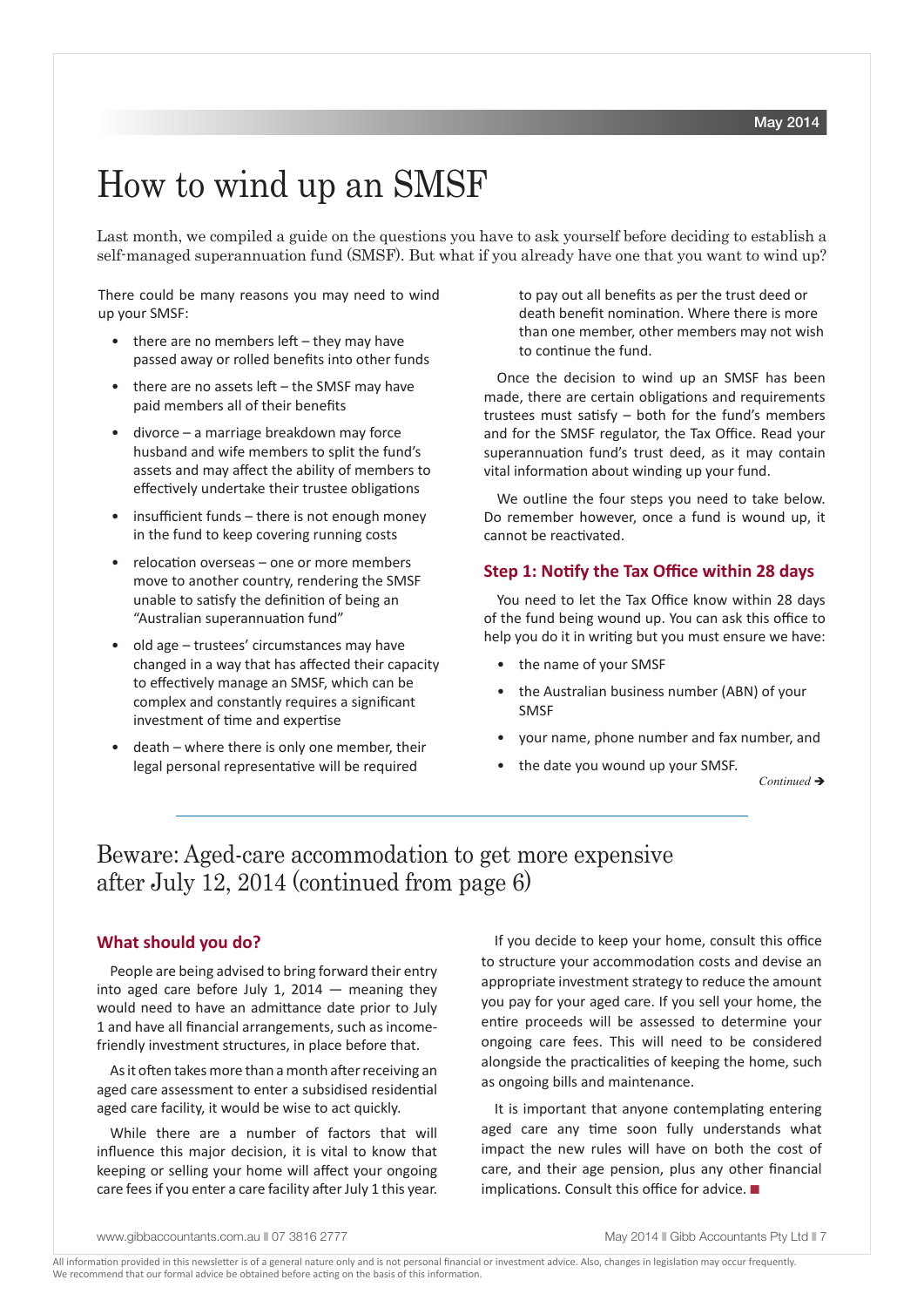# How to wind up an SMSF

Last month, we compiled a guide on the questions you have to ask yourself before deciding to establish a self-managed superannuation fund (SMSF). But what if you already have one that you want to wind up?

There could be many reasons you may need to wind up your SMSF:

- there are no members left they may have passed away or rolled benefits into other funds
- there are no assets left the SMSF may have paid members all of their benefits
- divorce a marriage breakdown may force husband and wife members to split the fund's assets and may affect the ability of members to effectively undertake their trustee obligations
- $insufficient$  funds there is not enough money in the fund to keep covering running costs
- relocation overseas one or more members move to another country, rendering the SMSF unable to satisfy the definition of being an "Australian superannuation fund"
- old age trustees' circumstances may have changed in a way that has affected their capacity to effectively manage an SMSF, which can be complex and constantly requires a significant investment of time and expertise
- death where there is only one member, their legal personal representative will be required

to pay out all benefits as per the trust deed or death benefit nomination. Where there is more than one member, other members may not wish to continue the fund.

Once the decision to wind up an SMSF has been made, there are certain obligations and requirements trustees must satisfy – both for the fund's members and for the SMSF regulator, the Tax Office. Read your superannuation fund's trust deed, as it may contain vital information about winding up your fund.

We outline the four steps you need to take below. Do remember however, once a fund is wound up, it cannot be reactivated.

## **Step 1: Notify the Tax Office within 28 days**

You need to let the Tax Office know within 28 days of the fund being wound up. You can ask this office to help you do it in writing but you must ensure we have:

- the name of your SMSF
- the Australian business number (ABN) of your SMSF
- your name, phone number and fax number, and
- the date you wound up your SMSF.

*Continued* è

# Beware: Aged-care accommodation to get more expensive after July 12, 2014 (continued from page 6)

# **What should you do?**

People are being advised to bring forward their entry into aged care before July 1, 2014  $-$  meaning they would need to have an admittance date prior to July 1 and have all financial arrangements, such as incomefriendly investment structures, in place before that.

As it often takes more than a month after receiving an aged care assessment to enter a subsidised residential aged care facility, it would be wise to act quickly.

While there are a number of factors that will influence this major decision, it is vital to know that keeping or selling your home will affect your ongoing care fees if you enter a care facility after July 1 this year.

If you decide to keep your home, consult this office to structure your accommodation costs and devise an appropriate investment strategy to reduce the amount you pay for your aged care. If you sell your home, the entire proceeds will be assessed to determine your ongoing care fees. This will need to be considered alongside the practicalities of keeping the home, such as ongoing bills and maintenance.

It is important that anyone contemplating entering aged care any time soon fully understands what impact the new rules will have on both the cost of care, and their age pension, plus any other financial implications. Consult this office for advice.  $\blacksquare$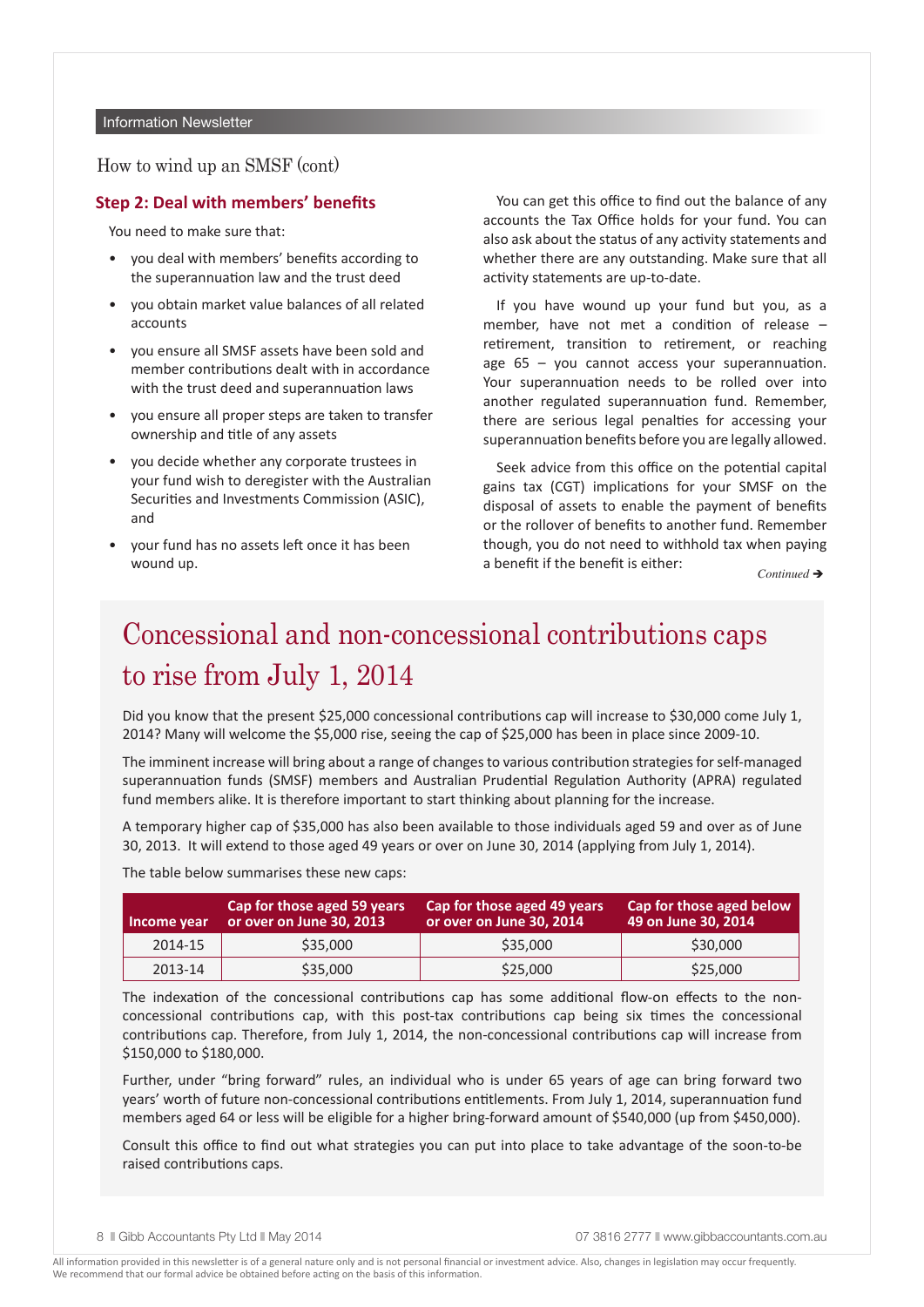#### Information Newsletter

How to wind up an SMSF (cont)

# **Step 2: Deal with members' benefits**

You need to make sure that:

- you deal with members' benefits according to the superannuation law and the trust deed
- you obtain market value balances of all related accounts
- you ensure all SMSF assets have been sold and member contributions dealt with in accordance with the trust deed and superannuation laws
- you ensure all proper steps are taken to transfer ownership and title of any assets
- you decide whether any corporate trustees in your fund wish to deregister with the Australian Securities and Investments Commission (ASIC), and
- your fund has no assets left once it has been wound up.

You can get this office to find out the balance of any accounts the Tax Office holds for your fund. You can also ask about the status of any activity statements and whether there are any outstanding. Make sure that all activity statements are up-to-date.

If you have wound up your fund but you, as a member, have not met a condition of release – retirement, transition to retirement, or reaching age 65 – you cannot access your superannuation. Your superannuation needs to be rolled over into another regulated superannuation fund. Remember, there are serious legal penalties for accessing your superannuation benefits before you are legally allowed.

Seek advice from this office on the potential capital gains tax (CGT) implications for your SMSF on the disposal of assets to enable the payment of benefits or the rollover of benefits to another fund. Remember though, you do not need to withhold tax when paying a benefit if the benefit is either:

Continued **→** 

# Concessional and non-concessional contributions caps to rise from July 1, 2014

Did you know that the present \$25,000 concessional contributions cap will increase to \$30,000 come July 1, 2014? Many will welcome the \$5,000 rise, seeing the cap of \$25,000 has been in place since 2009-10.

The imminent increase will bring about a range of changes to various contribution strategies for self-managed superannuation funds (SMSF) members and Australian Prudential Regulation Authority (APRA) regulated fund members alike. It is therefore important to start thinking about planning for the increase.

A temporary higher cap of \$35,000 has also been available to those individuals aged 59 and over as of June 30, 2013. It will extend to those aged 49 years or over on June 30, 2014 (applying from July 1, 2014).

The table below summarises these new caps:

| Income year | Cap for those aged 59 years<br>or over on June 30, 2013 | Cap for those aged 49 years<br>or over on June 30, 2014 | <b>Cap for those aged below</b><br>49 on June 30, 2014 |
|-------------|---------------------------------------------------------|---------------------------------------------------------|--------------------------------------------------------|
| 2014-15     | \$35,000                                                | \$35,000                                                | \$30,000                                               |
| 2013-14     | \$35,000                                                | \$25,000                                                | \$25,000                                               |

The indexation of the concessional contributions cap has some additional flow-on effects to the nonconcessional contributions cap, with this post-tax contributions cap being six times the concessional contributions cap. Therefore, from July 1, 2014, the non-concessional contributions cap will increase from \$150,000 to \$180,000.

Further, under "bring forward" rules, an individual who is under 65 years of age can bring forward two years' worth of future non-concessional contributions entitlements. From July 1, 2014, superannuation fund members aged 64 or less will be eligible for a higher bring-forward amount of \$540,000 (up from \$450,000).

Consult this office to find out what strategies you can put into place to take advantage of the soon-to-be raised contributions caps.